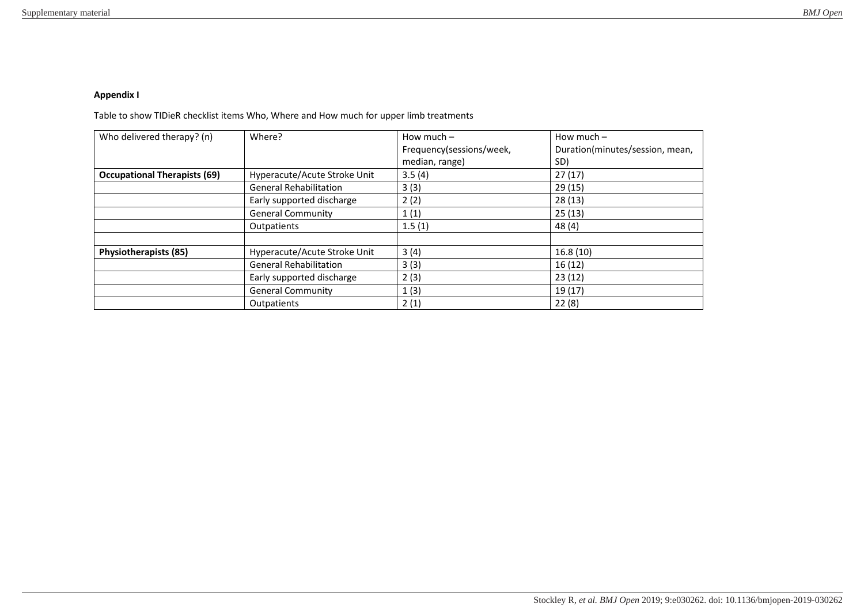## **Appendix I**

Table to show TIDieR checklist items Who, Where and How much for upper limb treatments

| Who delivered therapy? (n)          | Where?                        | How much $-$             | How much $-$                    |
|-------------------------------------|-------------------------------|--------------------------|---------------------------------|
|                                     |                               | Frequency(sessions/week, | Duration(minutes/session, mean, |
|                                     |                               | median, range)           | SD)                             |
| <b>Occupational Therapists (69)</b> | Hyperacute/Acute Stroke Unit  | 3.5(4)                   | 27(17)                          |
|                                     | <b>General Rehabilitation</b> | 3(3)                     | 29 (15)                         |
|                                     | Early supported discharge     | 2(2)                     | 28(13)                          |
|                                     | <b>General Community</b>      | 1(1)                     | 25(13)                          |
|                                     | Outpatients                   | 1.5(1)                   | 48(4)                           |
|                                     |                               |                          |                                 |
| <b>Physiotherapists (85)</b>        | Hyperacute/Acute Stroke Unit  | 3(4)                     | 16.8(10)                        |
|                                     | <b>General Rehabilitation</b> | 3(3)                     | 16(12)                          |
|                                     | Early supported discharge     | 2(3)                     | 23(12)                          |
|                                     | <b>General Community</b>      | 1(3)                     | 19 (17)                         |
|                                     | Outpatients                   | 2(1)                     | 22(8)                           |